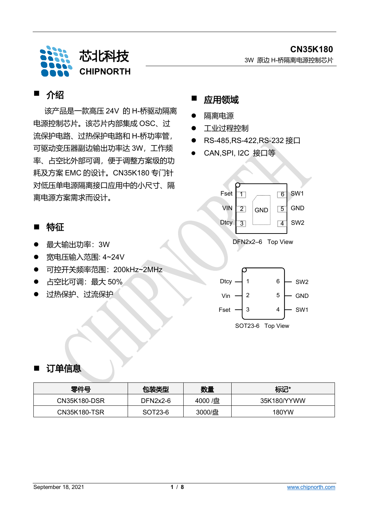

## ■ 介绍

该产品是一款高压 24V 的 H-桥驱动隔离 电源控制芯片。该芯片内部集成 OSC、过 流保护电路、过热保护电路和 H-桥功率管, 可驱动变压器副边输出功率达 3W,工作频 率、占空比外部可调,便于调整方案级的功 耗及方案 EMC 的设计。CN35K180 专门针 对低压单电源隔离接口应用中的小尺寸、隔 离电源方案需求而设计。

### ■ 特征

- 最大输出功率:3W
- 宽电压输入范围: 4~24V
- 可控开关频率范围:200kHz~2MHz
- 占空比可调:最大 50%
- 过热保护、过流保护



- 隔离电源
- 工业过程控制
- RS-485,RS-422,RS-232 接口
- CAN,SPI, I2C 接口等



### ■ 订单信息

| 零件号          | 包装类型       | 数量      | 标记*         |
|--------------|------------|---------|-------------|
| CN35K180-DSR | $DFN2x2-6$ | 4000 /盘 | 35K180/YYWW |
| CN35K180-TSR | SOT23-6    | 3000/盘  | 180YW       |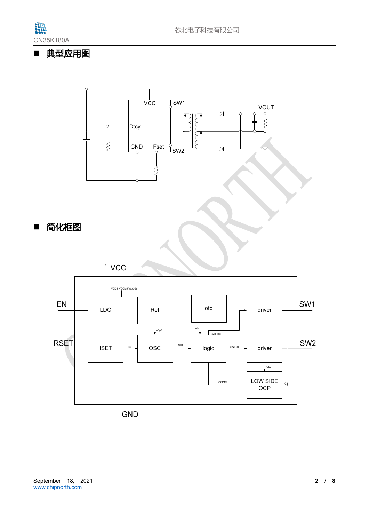

## ■ 典型应用图

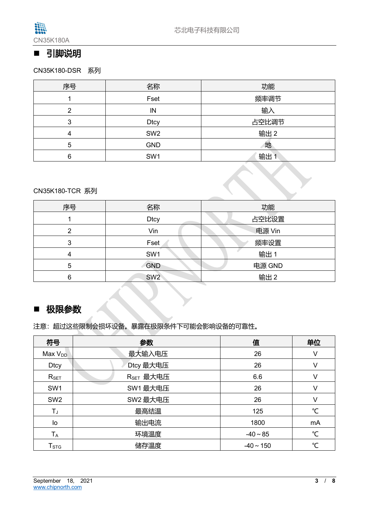

## ■ 引脚说明

CN35K180-DSR系列

| 序号 | 功能<br>名称        |       |  |  |
|----|-----------------|-------|--|--|
|    | Fset            | 频率调节  |  |  |
| റ  | IN              | 输入    |  |  |
| 3  | <b>Dtcy</b>     | 占空比调节 |  |  |
| 4  | SW <sub>2</sub> | 输出 2  |  |  |
| 5  | <b>GND</b>      | 地     |  |  |
| 6  | SW1             | 输出    |  |  |

#### CN35K180-TCR 系列

| 序号 | 名称                   | 功能     |  |  |  |
|----|----------------------|--------|--|--|--|
|    | 占空比设置<br><b>Dtcy</b> |        |  |  |  |
| ⌒  | Vin                  | 电源 Vin |  |  |  |
| 3  | Fset                 | 频率设置   |  |  |  |
| 4  | SW1                  | 输出 1   |  |  |  |
| 5  | <b>GND</b>           | 电源 GND |  |  |  |
| 6  | SW <sub>2</sub>      | 输出 2   |  |  |  |

### ■ 极限参数

注意:超过这些限制会损坏设备。暴露在极限条件下可能会影响设备的可靠性。

| 符号                      | 参数                    | 值              | 单位 |
|-------------------------|-----------------------|----------------|----|
| Max V <sub>DD</sub>     | 最大输入电压                | 26             | v  |
| <b>Dtcy</b>             | Dtcy 最大电压             | 26             | v  |
| $R_{SET}$               | R <sub>SET</sub> 最大电压 | 6.6            | V  |
| SW <sub>1</sub>         | SW1 最大电压              | 26             | v  |
| SW <sub>2</sub>         | SW2 最大电压              | 26             | V  |
| $T_{J}$                 | 最高结温                  | 125            | °C |
| lo                      | 输出电流                  | 1800           | mA |
| $T_A$                   | 环境温度                  | $-40 \sim 85$  | °C |
| <b>T</b> <sub>STG</sub> | 储存温度                  | $-40 \sim 150$ | ℃  |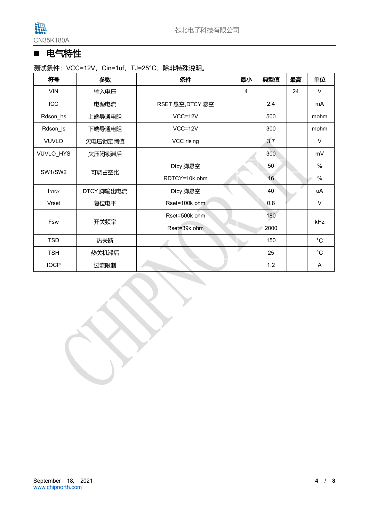

# ■ 电气特性

测试条件: VCC=12V, Cin=1uf, TJ=25°C, 除非特殊说明。

| 符号                       | 参数         | 条件               | 最小 | 典型值             | 最高 | 单位            |  |
|--------------------------|------------|------------------|----|-----------------|----|---------------|--|
| <b>VIN</b>               | 输入电压       |                  | 4  |                 | 24 | $\vee$        |  |
| ICC                      | 电源电流       | RSET 悬空, DTCY 悬空 |    | 2.4             |    | mA            |  |
| Rdson_hs                 | 上端导通电阻     | $VCC=12V$        |    | 500             |    | mohm          |  |
| Rdson_ls                 | 下端导通电阻     | $VCC=12V$        |    | 300             |    | mohm          |  |
| <b>VUVLO</b>             | 欠电压锁定阈值    | VCC rising       |    | 3.7             |    | $\vee$        |  |
| VUVLO_HYS                | 欠压闭锁滞后     |                  |    | 300             |    | mV            |  |
| SW1/SW2                  |            | Dtcy 脚悬空         |    | 50              |    | $\frac{0}{0}$ |  |
|                          | 可调占空比      | RDTCY=10k ohm    |    | 16 <sup>°</sup> |    | $\%$          |  |
| <b>I</b> <sub>DTCY</sub> | DTCY 脚输出电流 | Dtcy 脚悬空         |    | 40              |    | uA            |  |
| <b>Vrset</b>             | 复位电平       | Rset=100k ohm    |    | 0.8             |    | $\vee$        |  |
| Fsw                      |            | Rset=500k ohm    |    | 180             |    | kHz           |  |
|                          | 开关频率       | Rset=39k ohm     |    | 2000            |    |               |  |
| <b>TSD</b>               | 热关断        |                  |    | 150             |    | $^{\circ}$ C  |  |
| <b>TSH</b>               | 热关机滞后      |                  |    | 25              |    | $^{\circ}$ C  |  |
| <b>IOCP</b>              | 过流限制       |                  |    | 1.2             |    | A             |  |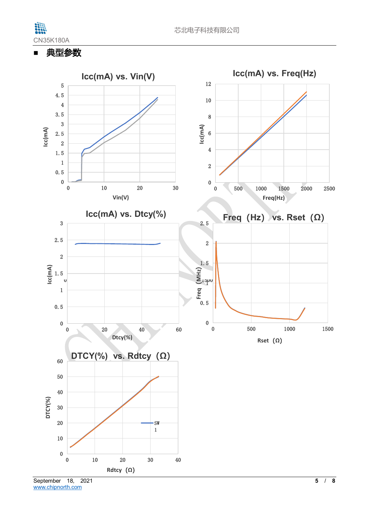

■ 典型参数



[www.chipnorth.com](http://www.chipnorth.com/)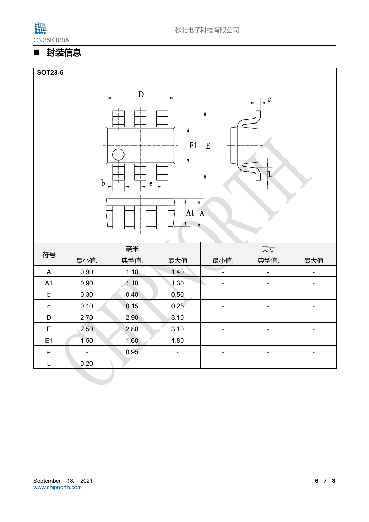

# ■ 封装信息



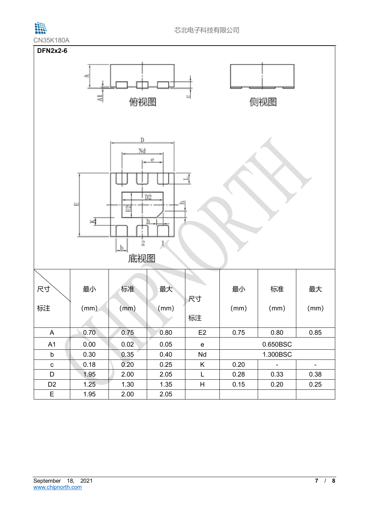

| <b>UNJUNTOUA</b>                                                                                                                     |      |      |      |             |          |                          |                          |  |
|--------------------------------------------------------------------------------------------------------------------------------------|------|------|------|-------------|----------|--------------------------|--------------------------|--|
| <b>DFN2x2-6</b><br>O<br>俯视图<br>侧视图                                                                                                   |      |      |      |             |          |                          |                          |  |
| $\overline{\mathbf{D}}$<br>Nd<br>e<br>D2<br>$\Xi$<br>$\overline{2}$<br>$\blacktriangleleft$<br>$\overline{2}$<br>$\mathbf{b}$<br>底视图 |      |      |      |             |          |                          |                          |  |
| 尺寸                                                                                                                                   | 最小   | 标准   | 最大   | 尺寸          | 最小       | 标准                       | 最大                       |  |
| 标注                                                                                                                                   | (mm) | (mm) | (mm) | 标注          | (mm)     | (mm)                     | (mm)                     |  |
| A                                                                                                                                    | 0.70 | 0.75 | 0.80 | E2          | 0.75     | 0.80                     | 0.85                     |  |
| A1                                                                                                                                   | 0.00 | 0.02 | 0.05 | $\mathbf e$ |          | 0.650BSC                 |                          |  |
| $\mathsf b$                                                                                                                          | 0.30 | 0.35 | 0.40 | Nd          | 1.300BSC |                          |                          |  |
| ${\bf C}$                                                                                                                            | 0.18 | 0.20 | 0.25 | K           | 0.20     | $\overline{\phantom{a}}$ | $\overline{\phantom{a}}$ |  |
| D                                                                                                                                    | 1.95 | 2.00 | 2.05 | L           | 0.28     | 0.33                     | 0.38                     |  |
| D <sub>2</sub>                                                                                                                       | 1.25 | 1.30 | 1.35 | H           | 0.15     | 0.20                     | 0.25                     |  |
| E                                                                                                                                    | 1.95 | 2.00 | 2.05 |             |          |                          |                          |  |